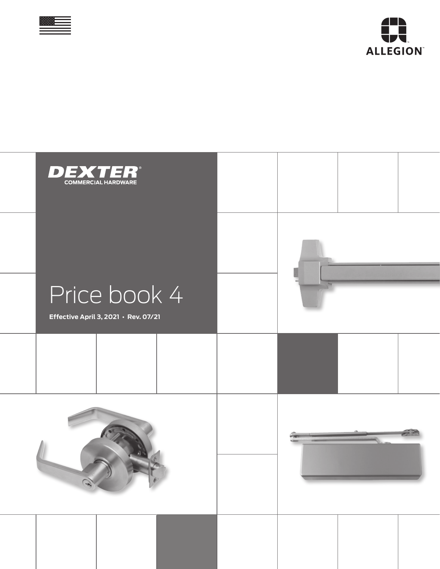



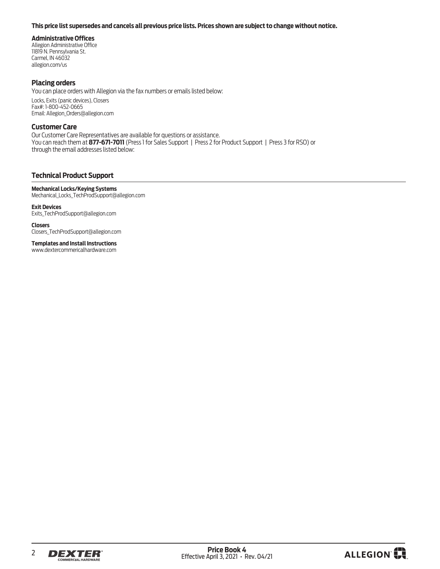#### <span id="page-1-0"></span>**This price list supersedes and cancels all previous price lists. Prices shown are subject to change without notice.**

#### **Administrative Offices**

Allegion Administrative Office 11819 N. Pennsylvania St. Carmel, IN 46032 allegion.com/us

#### **Placing orders**

You can place orders with Allegion via the fax numbers or emails listed below:

Locks, Exits (panic devices), Closers Fax#: 1-800-452-0665 Email: Allegion\_Orders@allegion.com

#### **Customer Care**

Our Customer Care Representatives are available for questions or assistance. You can reach them at **877-671-7011** (Press 1 for Sales Support | Press 2 for Product Support | Press 3 for RSO) or through the email addresses listed below:

#### **Technical Product Support**

**Mechanical Locks/Keying Systems** Mechanical\_Locks\_TechProdSupport@allegion.com

#### **Exit Devices**

Exits\_TechProdSupport@allegion.com

**Closers** Closers\_TechProdSupport@allegion.com

**Templates and Install Instructions**  www.dextercommericalhardware.com



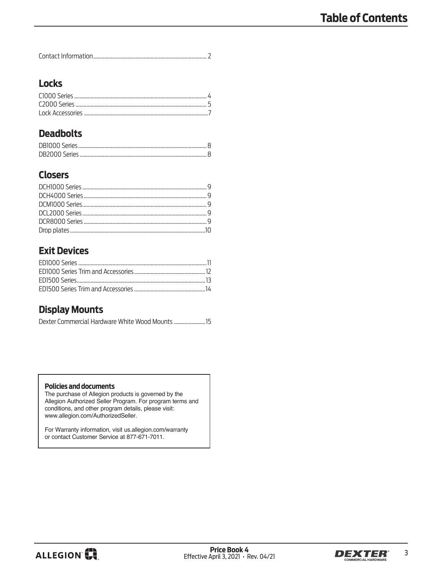|--|

# **Locks**

# **Deadbolts**

# **Closers**

# **Exit Devices**

# **Display Mounts**

| Dexter Commercial Hardware White Wood Mounts |  |
|----------------------------------------------|--|
|----------------------------------------------|--|

#### **Policies and documents**

The purchase of Allegion products is governed by the Allegion Authorized Seller Program. For program terms and conditions, and other program details, please visit: www.allegion.com/AuthorizedSeller.

For Warranty information, visit us.allegion.com/warranty or contact Customer Service at 877-671-7011.



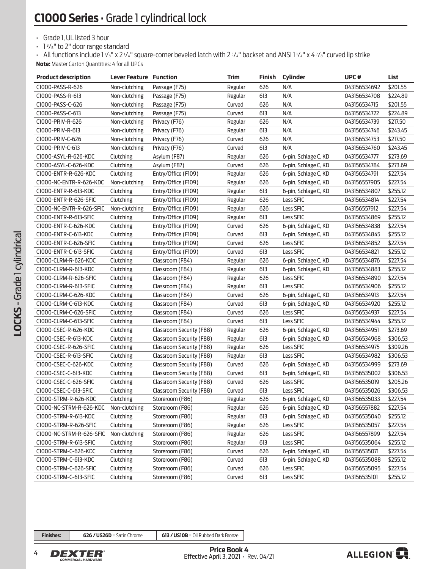<span id="page-3-0"></span>• Grade 1, UL listed 3 hour

• 1 <sup>3</sup> /8" to 2" door range standard

- All functions include 1 1/8" x 2 1/4" square-corner beveled latch with 2 3/4" backset and ANSI 1 1/4" x 4 7/8" curved lip strike **Note:** Master Carton Quantities: 4 for all UPCs

| <b>Product description</b> | <b>Lever Feature Function</b> |                          | <b>Trim</b> | <b>Finish</b> | <b>Cylinder</b>      | UPC#         | List     |
|----------------------------|-------------------------------|--------------------------|-------------|---------------|----------------------|--------------|----------|
| C1000-PASS-R-626           | Non-clutching                 | Passage (F75)            | Regular     | 626           | N/A                  | 043156534692 | \$201.55 |
| C1000-PASS-R-613           | Non-clutching                 | Passage (F75)            | Regular     | 613           | N/A                  | 043156534708 | \$224.89 |
| C1000-PASS-C-626           | Non-clutching                 | Passage (F75)            | Curved      | 626           | N/A                  | 043156534715 | \$201.55 |
| C1000-PASS-C-613           | Non-clutching                 | Passage (F75)            | Curved      | 613           | N/A                  | 043156534722 | \$224.89 |
| C1000-PRIV-R-626           | Non-clutching                 | Privacy (F76)            | Regular     | 626           | N/A                  | 043156534739 | \$217.50 |
| C1000-PRIV-R-613           | Non-clutching                 | Privacy (F76)            | Regular     | 613           | N/A                  | 043156534746 | \$243.45 |
| C1000-PRIV-C-626           | Non-clutching                 | Privacy (F76)            | Curved      | 626           | N/A                  | 043156534753 | \$217.50 |
| C1000-PRIV-C-613           | Non-clutching                 | Privacy (F76)            | Curved      | 613           | N/A                  | 043156534760 | \$243.45 |
| C1000-ASYL-R-626-KDC       | Clutching                     | Asylum (F87)             | Regular     | 626           | 6-pin, Schlage C, KD | 043156534777 | \$273.69 |
| C1000-ASYL-C-626-KDC       | Clutching                     | Asylum (F87)             | Curved      | 626           | 6-pin, Schlage C, KD | 043156534784 | \$273.69 |
| C1000-ENTR-R-626-KDC       | Clutching                     | Entry/Office (F109)      | Regular     | 626           | 6-pin, Schlage C, KD | 043156534791 | \$227.54 |
| C1000-NC-ENTR-R-626-KDC    | Non-clutching                 | Entry/Office (F109)      | Regular     | 626           | 6-pin, Schlage C, KD | 043156557905 | \$227.54 |
| C1000-ENTR-R-613-KDC       | Clutching                     | Entry/Office (F109)      | Regular     | 613           | 6-pin, Schlage C, KD | 043156534807 | \$255.12 |
| C1000-ENTR-R-626-SFIC      | Clutching                     | Entry/Office (F109)      | Regular     | 626           | Less SFIC            | 043156534814 | \$227.54 |
| C1000-NC-ENTR-R-626-SFIC   | Non-clutching                 | Entry/Office (F109)      | Regular     | 626           | Less SFIC            | 043156557912 | \$227.54 |
| C1000-ENTR-R-613-SFIC      | Clutching                     | Entry/Office (F109)      | Regular     | 613           | Less SFIC            | 043156534869 | \$255.12 |
| C1000-ENTR-C-626-KDC       | Clutching                     | Entry/Office (F109)      | Curved      | 626           | 6-pin, Schlage C, KD | 043156534838 | \$227.54 |
| C1000-ENTR-C-613-KDC       | Clutching                     | Entry/Office (F109)      | Curved      | 613           | 6-pin, Schlage C, KD | 043156534845 | \$255.12 |
| C1000-ENTR-C-626-SFIC      | Clutching                     | Entry/Office (F109)      | Curved      | 626           | Less SFIC            | 043156534852 | \$227.54 |
| C1000-ENTR-C-613-SFIC      | Clutching                     | Entry/Office (F109)      | Curved      | 613           | Less SFIC            | 043156534821 | \$255.12 |
| C1000-CLRM-R-626-KDC       | Clutching                     | Classroom (F84)          | Regular     | 626           | 6-pin, Schlage C, KD | 043156534876 | \$227.54 |
| C1000-CLRM-R-613-KDC       | Clutching                     | Classroom (F84)          | Regular     | 613           | 6-pin, Schlage C, KD | 043156534883 | \$255.12 |
| C1000-CLRM-R-626-SFIC      | Clutching                     | Classroom (F84)          | Regular     | 626           | Less SFIC            | 043156534890 | \$227.54 |
| C1000-CLRM-R-613-SFIC      | Clutching                     | Classroom (F84)          | Regular     | 613           | Less SFIC            | 043156534906 | \$255.12 |
| C1000-CLRM-C-626-KDC       | Clutching                     | Classroom (F84)          | Curved      | 626           | 6-pin, Schlage C, KD | 043156534913 | \$227.54 |
| C1000-CLRM-C-613-KDC       | Clutching                     | Classroom (F84)          | Curved      | 613           | 6-pin, Schlage C, KD | 043156534920 | \$255.12 |
| C1000-CLRM-C-626-SFIC      | Clutching                     | Classroom (F84)          | Curved      | 626           | Less SFIC            | 043156534937 | \$227.54 |
| C1000-CLRM-C-613-SFIC      | Clutching                     | Classroom (F84)          | Curved      | 613           | Less SFIC            | 043156534944 | \$255.12 |
| C1000-CSEC-R-626-KDC       | Clutching                     | Classroom Security (F88) | Regular     | 626           | 6-pin, Schlage C, KD | 043156534951 | \$273.69 |
| C1000-CSEC-R-613-KDC       | Clutching                     | Classroom Security (F88) | Regular     | 613           | 6-pin, Schlage C, KD | 043156534968 | \$306.53 |
| C1000-CSEC-R-626-SFIC      | Clutching                     | Classroom Security (F88) | Regular     | 626           | Less SFIC            | 043156534975 | \$309.26 |
| C1000-CSEC-R-613-SFIC      | Clutching                     | Classroom Security (F88) | Regular     | 613           | Less SFIC            | 043156534982 | \$306.53 |
| C1000-CSEC-C-626-KDC       | Clutching                     | Classroom Security (F88) | Curved      | 626           | 6-pin, Schlage C, KD | 043156534999 | \$273.69 |
| C1000-CSEC-C-613-KDC       | Clutching                     | Classroom Security (F88) | Curved      | 613           | 6-pin, Schlage C, KD | 043156535002 | \$306.53 |
| C1000-CSEC-C-626-SFIC      | Clutching                     | Classroom Security (F88) | Curved      | 626           | Less SFIC            | 043156535019 | \$205.26 |
| C1000-CSEC-C-613-SFIC      | Clutching                     | Classroom Security (F88) | Curved      | 613           | Less SFIC            | 043156535026 | \$306.53 |
| C1000-STRM-R-626-KDC       | Clutching                     | Storeroom (F86)          | Regular     | 626           | 6-pin, Schlage C, KD | 043156535033 | \$227.54 |
| C1000-NC-STRM-R-626-KDC    | Non-clutching                 | Storeroom (F86)          | Regular     | 626           | 6-pin, Schlage C, KD | 043156557882 | \$227.54 |
| C1000-STRM-R-613-KDC       | Clutching                     | Storeroom (F86)          | Regular     | 613           | 6-pin, Schlage C, KD | 043156535040 | \$255.12 |
| C1000-STRM-R-626-SFIC      | Clutching                     | Storeroom (F86)          | Regular     | 626           | Less SFIC            | 043156535057 | \$227.54 |
| C1000-NC-STRM-R-626-SFIC   | Non-clutching                 | Storeroom (F86)          | Regular     | 626           | Less SFIC            | 043156557899 | \$227.54 |
| C1000-STRM-R-613-SFIC      | Clutching                     | Storeroom (F86)          | Regular     | 613           | Less SFIC            | 043156535064 | \$255.12 |
| C1000-STRM-C-626-KDC       | Clutching                     | Storeroom (F86)          | Curved      | 626           | 6-pin, Schlage C, KD | 043156535071 | \$227.54 |
| C1000-STRM-C-613-KDC       | Clutching                     | Storeroom (F86)          | Curved      | 613           | 6-pin, Schlage C, KD | 043156535088 | \$255.12 |
| C1000-STRM-C-626-SFIC      | Clutching                     | Storeroom (F86)          | Curved      | 626           | Less SFIC            | 043156535095 | \$227.54 |
| C1000-STRM-C-613-SFIC      | Clutching                     | Storeroom (F86)          | Curved      | 613           | Less SFIC            | 043156535101 | \$255.12 |

**Finishes: 626 / US26D** = Satin Chrome **613 / US10B** = Oil Rubbed Dark Bronze



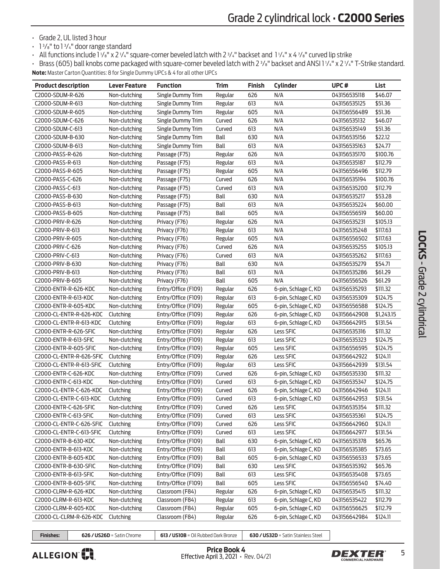• Grade 2, UL listed 3 hour

- 1 <sup>3</sup> /8" to 1 <sup>3</sup> /4" door range standard
- All functions include 1 1/8" x 2 1/4" square-corner beveled latch with 2 3/4" backset and 1 1/4" x 4 7/8" curved lip strike

• Brass (605) ball knobs come packaged with square-corner beveled latch with 2 <sup>3</sup> /8" backset and ANSI 1 <sup>1</sup> /4" x 2 <sup>1</sup> /4" T-Strike standard. **Note:** Master Carton Quantities: 8 for Single Dummy UPCs & 4 for all other UPCs

| <b>Product description</b> | <b>Lever Feature</b> | <b>Function</b>     | <b>Trim</b> | <b>Finish</b> | <b>Cylinder</b>      | UPC#         | List       |
|----------------------------|----------------------|---------------------|-------------|---------------|----------------------|--------------|------------|
| C2000-SDUM-R-626           | Non-clutching        | Single Dummy Trim   | Regular     | 626           | N/A                  | 043156535118 | \$46.07    |
| C2000-SDUM-R-613           | Non-clutching        | Single Dummy Trim   | Regular     | 613           | N/A                  | 043156535125 | \$51.36    |
| C2000-SDUM-R-605           | Non-clutching        | Single Dummy Trim   | Regular     | 605           | N/A                  | 043156556489 | \$51.36    |
| C2000-SDUM-C-626           | Non-clutching        | Single Dummy Trim   | Curved      | 626           | N/A                  | 043156535132 | \$46.07    |
| C2000-SDUM-C-613           | Non-clutching        | Single Dummy Trim   | Curved      | 613           | N/A                  | 043156535149 | \$51.36    |
| C2000-SDUM-B-630           | Non-clutching        | Single Dummy Trim   | Ball        | 630           | N/A                  | 043156535156 | \$22.12    |
| C2000-SDUM-B-613           | Non-clutching        | Single Dummy Trim   | Ball        | 613           | N/A                  | 043156535163 | \$24.77    |
| C2000-PASS-R-626           | Non-clutching        | Passage (F75)       | Regular     | 626           | N/A                  | 043156535170 | \$100.76   |
| C2000-PASS-R-613           | Non-clutching        | Passage (F75)       | Regular     | 613           | N/A                  | 043156535187 | \$112.79   |
| C2000-PASS-R-605           | Non-clutching        | Passage (F75)       | Regular     | 605           | N/A                  | 043156556496 | \$112.79   |
| C2000-PASS-C-626           | Non-clutching        | Passage (F75)       | Curved      | 626           | N/A                  | 043156535194 | \$100.76   |
| C2000-PASS-C-613           | Non-clutching        | Passage (F75)       | Curved      | 613           | N/A                  | 043156535200 | \$112.79   |
| C2000-PASS-B-630           | Non-clutching        | Passage (F75)       | Ball        | 630           | N/A                  | 043156535217 | \$53.28    |
| C2000-PASS-B-613           | Non-clutching        | Passage (F75)       | Ball        | 613           | N/A                  | 043156535224 | \$60.00    |
| C2000-PASS-B-605           | Non-clutching        | Passage (F75)       | Ball        | 605           | N/A                  | 043156556519 | \$60.00    |
| C2000-PRIV-R-626           | Non-clutching        | Privacy (F76)       | Regular     | 626           | N/A                  | 043156535231 | \$105.13   |
| C2000-PRIV-R-613           | Non-clutching        | Privacy (F76)       | Regular     | 613           | N/A                  | 043156535248 | \$117.63   |
| C2000-PRIV-R-605           | Non-clutching        | Privacy (F76)       | Regular     | 605           | N/A                  | 043156556502 | \$117.63   |
| C2000-PRIV-C-626           | Non-clutching        | Privacy (F76)       | Curved      | 626           | N/A                  | 043156535255 | \$105.13   |
| C2000-PRIV-C-613           | Non-clutching        | Privacy (F76)       | Curved      | 613           | N/A                  | 043156535262 | \$117.63   |
| C2000-PRIV-B-630           | Non-clutching        | Privacy (F76)       | Ball        | 630           | N/A                  | 043156535279 | \$54.71    |
| C2000-PRIV-B-613           | Non-clutching        | Privacy (F76)       | Ball        | 613           | N/A                  | 043156535286 | \$61.29    |
| C2000-PRIV-B-605           | Non-clutching        | Privacy (F76)       | Ball        | 605           | N/A                  | 043156556526 | \$61.29    |
| C2000-ENTR-R-626-KDC       | Non-clutching        | Entry/Office (F109) | Regular     | 626           | 6-pin, Schlage C, KD | 043156535293 | \$111.32   |
| C2000-ENTR-R-613-KDC       | Non-clutching        | Entry/Office (F109) | Regular     | 613           | 6-pin, Schlage C, KD | 043156535309 | \$124.75   |
| C2000-ENTR-R-605-KDC       | Non-clutching        | Entry/Office (F109) | Regular     | 605           | 6-pin, Schlage C, KD | 043156556588 | \$124.75   |
| C2000-CL-ENTR-R-626-KDC    | Clutching            | Entry/Office (F109) | Regular     | 626           | 6-pin, Schlage C, KD | 043156642908 | \$1,243.15 |
| C2000-CL-ENTR-R-613-KDC    | Clutching            | Entry/Office (F109) | Regular     | 613           | 6-pin, Schlage C, KD | 043156642915 | \$131.54   |
| C2000-ENTR-R-626-SFIC      | Non-clutching        | Entry/Office (F109) | Regular     | 626           | Less SFIC            | 043156535316 | \$111.32   |
| C2000-ENTR-R-613-SFIC      | Non-clutching        | Entry/Office (F109) | Regular     | 613           | Less SFIC            | 043156535323 | \$124.75   |
| C2000-ENTR-R-605-SFIC      | Non-clutching        | Entry/Office (F109) | Regular     | 605           | Less SFIC            | 043156556595 | \$124.75   |
| C2000-CL-ENTR-R-626-SFIC   | Clutching            | Entry/Office (F109) | Regular     | 626           | Less SFIC            | 043156642922 | \$124.11   |
| C2000-CL-ENTR-R-613-SFIC   | Clutching            | Entry/Office (F109) | Regular     | 613           | Less SFIC            | 043156642939 | \$131.54   |
| C2000-ENTR-C-626-KDC       | Non-clutching        | Entry/Office (F109) | Curved      | 626           | 6-pin, Schlage C, KD | 043156535330 | \$111.32   |
| C2000-ENTR-C-613-KDC       | Non-clutching        | Entry/Office (F109) | Curved      | 613           | 6-pin, Schlage C, KD | 043156535347 | \$124.75   |
| C2000-CL-ENTR-C-626-KDC    | Clutching            | Entry/Office (F109) | Curved      | 626           | 6-pin, Schlage C, KD | 043156642946 | \$124.11   |
| C2000-CL-ENTR-C-613-KDC    | Clutching            | Entry/Office (F109) | Curved      | 613           | 6-pin, Schlage C, KD | 043156642953 | \$131.54   |
| C2000-ENTR-C-626-SFIC      | Non-clutching        | Entry/Office (F109) | Curved      | 626           | Less SFIC            | 043156535354 | \$111.32   |
| C2000-ENTR-C-613-SFIC      | Non-clutching        | Entry/Office (F109) | Curved      | 613           | Less SFIC            | 043156535361 | \$124.75   |
| C2000-CL-ENTR-C-626-SFIC   | Clutching            | Entry/Office (F109) | Curved      | 626           | Less SFIC            | 043156642960 | \$124.11   |
| C2000-CL-ENTR-C-613-SFIC   | Clutching            | Entry/Office (F109) | Curved      | 613           | Less SFIC            | 043156642977 | \$131.54   |
| C2000-ENTR-B-630-KDC       | Non-clutching        | Entry/Office (F109) | Ball        | 630           | 6-pin, Schlage C, KD | 043156535378 | \$65.76    |
| C2000-ENTR-B-613-KDC       | Non-clutching        | Entry/Office (F109) | Ball        | 613           | 6-pin, Schlage C, KD | 043156535385 | \$73.65    |
| C2000-ENTR-B-605-KDC       | Non-clutching        | Entry/Office (F109) | Ball        | 605           | 6-pin, Schlage C, KD | 043156556533 | \$73.65    |
| C2000-ENTR-B-630-SFIC      | Non-clutching        | Entry/Office (F109) | Ball        | 630           | Less SFIC            | 043156535392 | \$65.76    |
| C2000-ENTR-B-613-SFIC      | Non-clutching        | Entry/Office (F109) | Ball        | 613           | Less SFIC            | 043156535408 | \$73.65    |
| C2000-ENTR-B-605-SFIC      | Non-clutching        | Entry/Office (F109) | Ball        | 605           | Less SFIC            | 043156556540 | \$74.40    |
| C2000-CLRM-R-626-KDC       | Non-clutching        | Classroom (F84)     | Regular     | 626           | 6-pin, Schlage C, KD | 043156535415 | \$111.32   |
| C2000-CLRM-R-613-KDC       | Non-clutching        | Classroom (F84)     | Regular     | 613           | 6-pin, Schlage C, KD | 043156535422 | \$112.79   |
| C2000-CLRM-R-605-KDC       | Non-clutching        | Classroom (F84)     | Regular     | 605           | 6-pin, Schlage C, KD | 043156556625 | \$112.79   |
| C2000-CL-CLRM-R-626-KDC    | Clutching            | Classroom (F84)     | Regular     | 626           | 6-pin, Schlage C, KD | 043156642984 | \$124.11   |



**Finishes: 626 / US26D** = Satin Chrome **613 / US10B** = Oil Rubbed Dark Bronze **630 / US32D** = Satin Stainless Steel

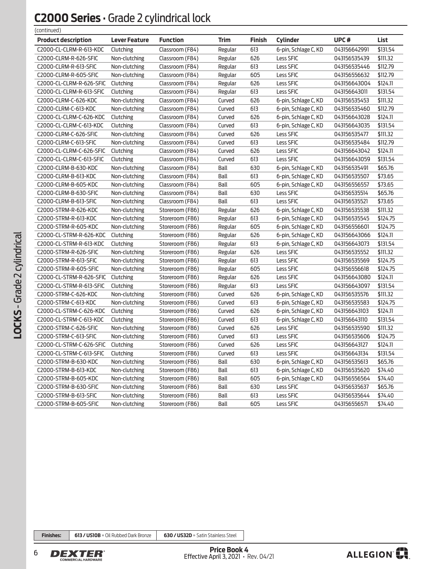### **C2000 Series** • Grade 2 cylindrical lock  $($ continued)

| (continuea)                |                      |                 |         |        |                      |              |          |
|----------------------------|----------------------|-----------------|---------|--------|----------------------|--------------|----------|
| <b>Product description</b> | <b>Lever Feature</b> | <b>Function</b> | Trim    | Finish | <b>Cylinder</b>      | UPC#         | List     |
| C2000-CL-CLRM-R-613-KDC    | Clutching            | Classroom (F84) | Regular | 613    | 6-pin, Schlage C, KD | 043156642991 | \$131.54 |
| C2000-CLRM-R-626-SFIC      | Non-clutching        | Classroom (F84) | Regular | 626    | Less SFIC            | 043156535439 | \$111.32 |
| C2000-CLRM-R-613-SFIC      | Non-clutching        | Classroom (F84) | Regular | 613    | Less SFIC            | 043156535446 | \$112.79 |
| C2000-CLRM-R-605-SFIC      | Non-clutching        | Classroom (F84) | Regular | 605    | Less SFIC            | 043156556632 | \$112.79 |
| C2000-CL-CLRM-R-626-SFIC   | Clutching            | Classroom (F84) | Regular | 626    | Less SFIC            | 043156643004 | \$124.11 |
| C2000-CL-CLRM-R-613-SFIC   | Clutching            | Classroom (F84) | Regular | 613    | Less SFIC            | 043156643011 | \$131.54 |
| C2000-CLRM-C-626-KDC       | Non-clutching        | Classroom (F84) | Curved  | 626    | 6-pin, Schlage C, KD | 043156535453 | \$111.32 |
| C2000-CLRM-C-613-KDC       | Non-clutching        | Classroom (F84) | Curved  | 613    | 6-pin, Schlage C, KD | 043156535460 | \$112.79 |
| C2000-CL-CLRM-C-626-KDC    | Clutching            | Classroom (F84) | Curved  | 626    | 6-pin, Schlage C, KD | 043156643028 | \$124.11 |
| C2000-CL-CLRM-C-613-KDC    | Clutching            | Classroom (F84) | Curved  | 613    | 6-pin, Schlage C, KD | 043156643035 | \$131.54 |
| C2000-CLRM-C-626-SFIC      | Non-clutching        | Classroom (F84) | Curved  | 626    | Less SFIC            | 043156535477 | \$111.32 |
| C2000-CLRM-C-613-SFIC      | Non-clutching        | Classroom (F84) | Curved  | 613    | Less SFIC            | 043156535484 | \$112.79 |
| C2000-CL-CLRM-C-626-SFIC   | Clutching            | Classroom (F84) | Curved  | 626    | Less SFIC            | 043156643042 | \$124.11 |
| C2000-CL-CLRM-C-613-SFIC   | Clutching            | Classroom (F84) | Curved  | 613    | Less SFIC            | 043156643059 | \$131.54 |
| C2000-CLRM-B-630-KDC       | Non-clutching        | Classroom (F84) | Ball    | 630    | 6-pin, Schlage C, KD | 043156535491 | \$65.76  |
| C2000-CLRM-B-613-KDC       | Non-clutching        | Classroom (F84) | Ball    | 613    | 6-pin, Schlage C, KD | 043156535507 | \$73.65  |
| C2000-CLRM-B-605-KDC       | Non-clutching        | Classroom (F84) | Ball    | 605    | 6-pin, Schlage C, KD | 043156556557 | \$73.65  |
| C2000-CLRM-B-630-SFIC      | Non-clutching        | Classroom (F84) | Ball    | 630    | Less SFIC            | 043156535514 | \$65.76  |
| C2000-CLRM-B-613-SFIC      | Non-clutching        | Classroom (F84) | Ball    | 613    | Less SFIC            | 043156535521 | \$73.65  |
| C2000-STRM-R-626-KDC       | Non-clutching        | Storeroom (F86) | Regular | 626    | 6-pin, Schlage C, KD | 043156535538 | \$111.32 |
| C2000-STRM-R-613-KDC       | Non-clutching        | Storeroom (F86) | Regular | 613    | 6-pin, Schlage C, KD | 043156535545 | \$124.75 |
| C2000-STRM-R-605-KDC       | Non-clutching        | Storeroom (F86) | Regular | 605    | 6-pin, Schlage C, KD | 043156556601 | \$124.75 |
| C2000-CL-STRM-R-626-KDC    | Clutching            | Storeroom (F86) | Regular | 626    | 6-pin, Schlage C, KD | 043156643066 | \$124.11 |
| C2000-CL-STRM-R-613-KDC    | Clutching            | Storeroom (F86) | Regular | 613    | 6-pin, Schlage C, KD | 043156643073 | \$131.54 |
| C2000-STRM-R-626-SFIC      | Non-clutching        | Storeroom (F86) | Regular | 626    | Less SFIC            | 043156535552 | \$111.32 |
| C2000-STRM-R-613-SFIC      | Non-clutching        | Storeroom (F86) | Regular | 613    | Less SFIC            | 043156535569 | \$124.75 |
| C2000-STRM-R-605-SFIC      | Non-clutching        | Storeroom (F86) | Regular | 605    | Less SFIC            | 043156556618 | \$124.75 |
| C2000-CL-STRM-R-626-SFIC   | Clutching            | Storeroom (F86) | Regular | 626    | Less SFIC            | 043156643080 | \$124.11 |
| C2000-CL-STRM-R-613-SFIC   | Clutching            | Storeroom (F86) | Regular | 613    | Less SFIC            | 043156643097 | \$131.54 |
| C2000-STRM-C-626-KDC       | Non-clutching        | Storeroom (F86) | Curved  | 626    | 6-pin, Schlage C, KD | 043156535576 | \$111.32 |
| C2000-STRM-C-613-KDC       | Non-clutching        | Storeroom (F86) | Curved  | 613    | 6-pin, Schlage C, KD | 043156535583 | \$124.75 |
| C2000-CL-STRM-C-626-KDC    | Clutching            | Storeroom (F86) | Curved  | 626    | 6-pin, Schlage C, KD | 043156643103 | \$124.11 |
| C2000-CL-STRM-C-613-KDC    | Clutching            | Storeroom (F86) | Curved  | 613    | 6-pin, Schlage C, KD | 043156643110 | \$131.54 |
| C2000-STRM-C-626-SFIC      | Non-clutching        | Storeroom (F86) | Curved  | 626    | Less SFIC            | 043156535590 | \$111.32 |
| C2000-STRM-C-613-SFIC      | Non-clutching        | Storeroom (F86) | Curved  | 613    | Less SFIC            | 043156535606 | \$124.75 |
| C2000-CL-STRM-C-626-SFIC   | Clutching            | Storeroom (F86) | Curved  | 626    | Less SFIC            | 043156643127 | \$124.11 |
| C2000-CL-STRM-C-613-SFIC   | Clutching            | Storeroom (F86) | Curved  |        | Less SFIC            | 043156643134 | \$131.54 |
| C2000-STRM-B-630-KDC       | Non-clutching        | Storeroom (F86) | Ball    | 630    | 6-pin, Schlage C, KD | 043156535613 | \$65.76  |
| C2000-STRM-B-613-KDC       | Non-clutching        | Storeroom (F86) | Ball    | 613    | 6-pin, Schlage C, KD | 043156535620 | \$74.40  |
| C2000-STRM-B-605-KDC       | Non-clutching        | Storeroom (F86) | Ball    | 605    | 6-pin, Schlage C, KD | 043156556564 | \$74.40  |
| C2000-STRM-B-630-SFIC      | Non-clutching        | Storeroom (F86) | Ball    | 630    | Less SFIC            | 043156535637 | \$65.76  |
| C2000-STRM-B-613-SFIC      | Non-clutching        | Storeroom (F86) | Ball    | 613    | Less SFIC            | 043156535644 | \$74.40  |
| C2000-STRM-B-605-SFIC      | Non-clutching        | Storeroom (F86) | Ball    | 605    | Less SFIC            | 043156556571 | \$74.40  |
|                            |                      |                 |         |        | 613                  |              |          |

**Finishes: 613 / US10B** = Oil Rubbed Dark Bronze **630 / US32D** = Satin Stainless Steel



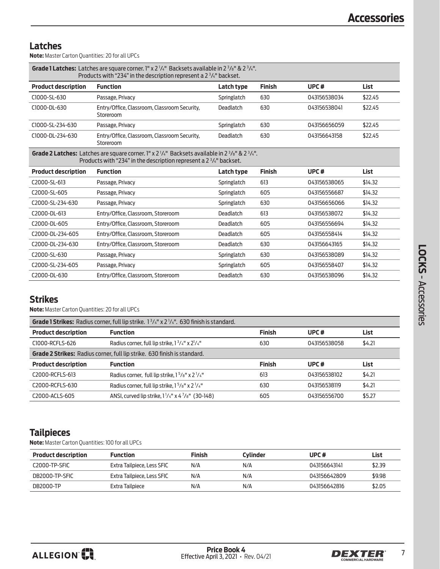### **Latches**

**Note:** Master Carton Quantities: 20 for all UPCs

| <b>Grade 1 Latches:</b> Latches are square corner. $l'' \times 2^{1/4''}$ Backsets available in $2^{3/8''}$ & $2^{3/4''}$ .<br>Products with "234" in the description represent a $2\frac{3}{4}$ " backset. |                                                                                                                                                                                                                     |             |               |              |             |  |
|-------------------------------------------------------------------------------------------------------------------------------------------------------------------------------------------------------------|---------------------------------------------------------------------------------------------------------------------------------------------------------------------------------------------------------------------|-------------|---------------|--------------|-------------|--|
| <b>Product description</b>                                                                                                                                                                                  | <b>Function</b>                                                                                                                                                                                                     | Latch type  | <b>Finish</b> | UPC#         | <b>List</b> |  |
| C1000-SL-630                                                                                                                                                                                                | Passage, Privacy                                                                                                                                                                                                    | Springlatch | 630           | 043156538034 | \$22.45     |  |
| C1000-DL-630                                                                                                                                                                                                | Entry/Office, Classroom, Classroom Security,<br>Storeroom                                                                                                                                                           | Deadlatch   | 630           | 043156538041 | \$22.45     |  |
| C1000-SL-234-630                                                                                                                                                                                            | Passage, Privacy                                                                                                                                                                                                    | Springlatch | 630           | 043156656059 | \$22.45     |  |
| C1000-DL-234-630                                                                                                                                                                                            | Entry/Office, Classroom, Classroom Security,<br>Storeroom                                                                                                                                                           | Deadlatch   | 630           | 043156643158 | \$22.45     |  |
|                                                                                                                                                                                                             | <b>Grade 2 Latches:</b> Latches are square corner. 1" x $2\frac{1}{4}$ " Backsets available in $2\frac{3}{8}$ " & $2\frac{3}{4}$ ".<br>Products with "234" in the description represent a $2\frac{3}{4}$ " backset. |             |               |              |             |  |
| <b>Product description</b>                                                                                                                                                                                  | <b>Function</b>                                                                                                                                                                                                     | Latch type  | <b>Finish</b> | UPC $#$      | List        |  |
| C2000-SL-613                                                                                                                                                                                                | Passage, Privacy                                                                                                                                                                                                    | Springlatch | 613           | 043156538065 | \$14.32     |  |
| C2000-SL-605                                                                                                                                                                                                | Passage, Privacy                                                                                                                                                                                                    | Springlatch | 605           | 043156556687 | \$14.32     |  |
| C2000-SL-234-630                                                                                                                                                                                            | Passage, Privacy                                                                                                                                                                                                    | Springlatch | 630           | 043156656066 | \$14.32     |  |
| C2000-DL-613                                                                                                                                                                                                | Entry/Office, Classroom, Storeroom                                                                                                                                                                                  | Deadlatch   | 613           | 043156538072 | \$14.32     |  |
| C2000-DL-605                                                                                                                                                                                                | Entry/Office, Classroom, Storeroom                                                                                                                                                                                  | Deadlatch   | 605           | 043156556694 | \$14.32     |  |
| C2000-DL-234-605                                                                                                                                                                                            | Entry/Office, Classroom, Storeroom                                                                                                                                                                                  | Deadlatch   | 605           | 043156558414 | \$14.32     |  |
| C2000-DL-234-630                                                                                                                                                                                            | Entry/Office, Classroom, Storeroom                                                                                                                                                                                  | Deadlatch   | 630           | 043156643165 | \$14.32     |  |
| C2000-SL-630                                                                                                                                                                                                | Passage, Privacy                                                                                                                                                                                                    | Springlatch | 630           | 043156538089 | \$14.32     |  |
| C2000-SL-234-605                                                                                                                                                                                            | Passage, Privacy                                                                                                                                                                                                    | Springlatch | 605           | 043156558407 | \$14.32     |  |
| C2000-DL-630                                                                                                                                                                                                | Entry/Office, Classroom, Storeroom                                                                                                                                                                                  | Deadlatch   | 630           | 043156538096 | \$14.32     |  |

## **Strikes**

**Note:** Master Carton Quantities: 20 for all UPCs

| <b>Grade 1 Strikes:</b> Radius corner, full lip strike. $1^3/4^n \times 2^1/4^n$ . 630 finish is standard. |                                                                        |               |              |        |  |  |  |  |
|------------------------------------------------------------------------------------------------------------|------------------------------------------------------------------------|---------------|--------------|--------|--|--|--|--|
| <b>Product description</b>                                                                                 | <b>Function</b>                                                        | <b>Finish</b> | UPC $#$      | List   |  |  |  |  |
| C1000-RCFLS-626                                                                                            | Radius corner, full lip strike, $1\frac{3}{4}$ " x $2\frac{1}{4}$ "    | 630           | 043156538058 | \$4.21 |  |  |  |  |
| <b>Grade 2 Strikes:</b> Radius corner, full lip strike. 630 finish is standard.                            |                                                                        |               |              |        |  |  |  |  |
| <b>Product description</b>                                                                                 | <b>Function</b>                                                        | <b>Finish</b> | UPC $#$      | List   |  |  |  |  |
| C2000-RCELS-613                                                                                            | Radius corner, full lip strike, $1\frac{5}{8}$ " x $2\frac{1}{4}$ "    | 613           | 043156538102 | \$4.21 |  |  |  |  |
| C2000-RCFLS-630                                                                                            | Radius corner, full lip strike, $1^5/s''$ x $2^1/4''$                  | 630           | 043156538119 | \$4.21 |  |  |  |  |
| C2000-ACLS-605                                                                                             | ANSI, curved lip strike, $1\frac{1}{4}$ " x 4 $\frac{7}{8}$ " (30-148) | 605           | 043156556700 | \$5.27 |  |  |  |  |

## **Tailpieces**

**Note:** Master Carton Quantities: 100 for all UPCs

| <b>Product description</b> | <b>Function</b>            | <b>Finish</b> | Cylinder | UPC#         | List   |
|----------------------------|----------------------------|---------------|----------|--------------|--------|
| C <sub>2000</sub> -TP-SFIC | Extra Tailpiece, Less SFIC | N/A           | N/A      | 043156643141 | \$2.39 |
| DB2000-TP-SFIC             | Extra Tailpiece, Less SFIC | N/A           | N/A      | 043156642809 | \$9.98 |
| DB2000-TP                  | Extra Tailpiece            | N/A           | N/A      | 043156642816 | \$2.05 |

 **LOCKS** -

Accessories

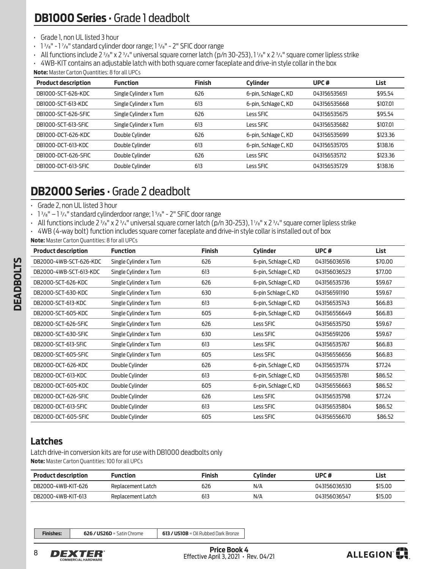### <span id="page-7-0"></span>• Grade 1, non UL listed 3 hour

- · 1<sup>3</sup>/<sub>8</sub>" 1<sup>7</sup>/<sub>8</sub>" standard cylinder door range; 1<sup>5</sup>/<sub>8</sub>" 2" SFIC door range
- All functions include 2  $\frac{3}{8}$ " x 2  $\frac{3}{4}$ " universal square corner latch (p/n 30-253), 1  $\frac{1}{8}$ " x 2  $\frac{3}{4}$ " square corner lipless strike
- 4WB-KIT contains an adjustable latch with both square corner faceplate and drive-in style collar in the box

**Note:** Master Carton Quantities: 8 for all UPCs

| <b>Product description</b> | <b>Function</b>        | <b>Finish</b> | <b>Cylinder</b>      | UPC <sup>#</sup> | List     |
|----------------------------|------------------------|---------------|----------------------|------------------|----------|
| DB1000-SCT-626-KDC         | Single Cylinder x Turn | 626           | 6-pin, Schlage C, KD | 043156535651     | \$95.54  |
| DB1000-SCT-613-KDC         | Single Cylinder x Turn | 613           | 6-pin, Schlage C, KD | 043156535668     | \$107.01 |
| DB1000-SCT-626-SFIC        | Single Cylinder x Turn | 626           | Less SFIC            | 043156535675     | \$95.54  |
| DB1000-SCT-613-SFIC        | Single Cylinder x Turn | 613           | Less SFIC            | 043156535682     | \$107.01 |
| DB1000-DCT-626-KDC         | Double Cylinder        | 626           | 6-pin, Schlage C, KD | 043156535699     | \$123.36 |
| DB1000-DCT-613-KDC         | Double Cylinder        | 613           | 6-pin, Schlage C, KD | 043156535705     | \$138.16 |
| DB1000-DCT-626-SFIC        | Double Cylinder        | 626           | Less SFIC            | 043156535712     | \$123.36 |
| DB1000-DCT-613-SFIC        | Double Cylinder        | 613           | Less SFIC            | 043156535729     | \$138.16 |

# **DB2000 Series** • Grade 2 deadbolt

- Grade 2, non UL listed 3 hour
- $\cdot$  1  $\frac{3}{8}$ " 1 $\frac{3}{4}$ " standard cylinderdoor range; 1 $\frac{5}{8}$ " 2" SFIC door range
- All functions include 2  $\frac{3}{8}$ " x 2  $\frac{3}{4}$ " universal square corner latch (p/n 30-253), 1  $\frac{1}{8}$ " x 2  $\frac{3}{4}$ " square corner lipless strike
- 4WB (4-way bolt) function includes square corner faceplate and drive-in style collar is installed out of box
- **Note:** Master Carton Quantities: 8 for all UPCs

| <b>Product description</b> | <b>Function</b>        | <b>Finish</b> | <b>Cylinder</b>      | UPC#         | <b>List</b> |
|----------------------------|------------------------|---------------|----------------------|--------------|-------------|
| DB2000-4WB-SCT-626-KDC     | Single Cylinder x Turn | 626           | 6-pin, Schlage C, KD | 043156036516 | \$70.00     |
| DB2000-4WB-SCT-613-KDC     | Single Cylinder x Turn | 613           | 6-pin, Schlage C, KD | 043156036523 | \$77.00     |
| DB2000-SCT-626-KDC         | Single Cylinder x Turn | 626           | 6-pin, Schlage C, KD | 043156535736 | \$59.67     |
| DB2000-SCT-630-KDC         | Single Cylinder x Turn | 630           | 6-pin Schlage C, KD  | 043156591190 | \$59.67     |
| DB2000-SCT-613-KDC         | Single Cylinder x Turn | 613           | 6-pin, Schlage C, KD | 043156535743 | \$66.83     |
| DB2000-SCT-605-KDC         | Single Cylinder x Turn | 605           | 6-pin, Schlage C, KD | 043156556649 | \$66.83     |
| DB2000-SCT-626-SFIC        | Single Cylinder x Turn | 626           | Less SFIC            | 043156535750 | \$59.67     |
| DB2000-SCT-630-SFIC        | Single Cylinder x Turn | 630           | Less SFIC            | 043156591206 | \$59.67     |
| DB2000-SCT-613-SFIC        | Single Cylinder x Turn | 613           | Less SFIC            | 043156535767 | \$66.83     |
| DB2000-SCT-605-SFIC        | Single Cylinder x Turn | 605           | Less SFIC            | 043156556656 | \$66.83     |
| DB2000-DCT-626-KDC         | Double Cylinder        | 626           | 6-pin, Schlage C, KD | 043156535774 | \$77.24     |
| DB2000-DCT-613-KDC         | Double Cylinder        | 613           | 6-pin, Schlage C, KD | 043156535781 | \$86.52     |
| DB2000-DCT-605-KDC         | Double Cylinder        | 605           | 6-pin, Schlage C, KD | 043156556663 | \$86.52     |
| DB2000-DCT-626-SFIC        | Double Cylinder        | 626           | Less SFIC            | 043156535798 | \$77.24     |
| DB2000-DCT-613-SFIC        | Double Cylinder        | 613           | Less SFIC            | 043156535804 | \$86.52     |
| DB2000-DCT-605-SFIC        | Double Cylinder        | 605           | Less SFIC            | 043156556670 | \$86.52     |

## **Latches**

Latch drive-in conversion kits are for use with DB1000 deadbolts only **Note:** Master Carton Quantities: 100 for all UPCs

| <b>Product description</b> | Function          | Finish | Cvlinder | UPC#         | List    |
|----------------------------|-------------------|--------|----------|--------------|---------|
| DB2000-4WB-KIT-626         | Replacement Latch | 626    | N/A      | 043156036530 | \$15.00 |
| DB2000-4WB-KIT-613         | Replacement Latch | 613    | N/A      | 043156036547 | \$15.00 |

**Finishes: 626 / US26D** = Satin Chrome **613 / US10B** = Oil Rubbed Dark Bronze



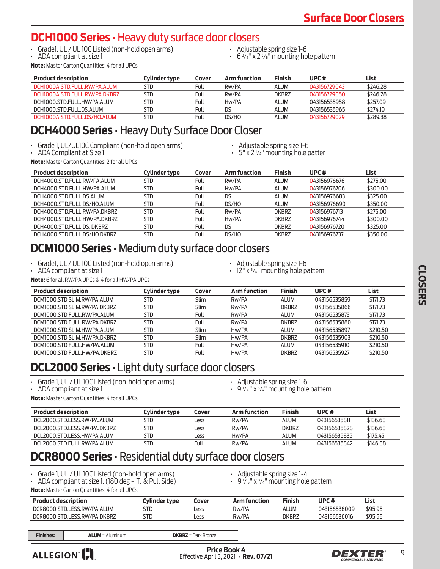# <span id="page-8-0"></span>**DCH1000 Series** • Heavy duty surface door closers

- Grade1, UL / UL 10C Listed (non-hold open arms)
- ADA compliant at size 1
- Adjustable spring size 1-6
- $\cdot$  6  $\frac{3}{4}$ " x 2  $\frac{3}{8}$ " mounting hole pattern

**Note:** Master Carton Quantities: 4 for all UPCs

| <b>Product description</b>    | Cylinder type | Cover | <b>Arm function</b> | <b>Finish</b> | UPC#         | List     |
|-------------------------------|---------------|-------|---------------------|---------------|--------------|----------|
| DCH1000A.STD.FULL.RW/PA.ALUM  | STD           | Full  | Rw/PA               | <b>ALUM</b>   | 043156729043 | \$246.28 |
| DCH1000A.STD.FULL.RW/PA.DKBR7 | STD           | Full  | Rw/PA               | DKBRZ         | 043156729050 | \$246.28 |
| DCH1000.STD.FULL.HW/PA.ALUM   | STD           | Full  | Hw/PA               | <b>ALUM</b>   | 043156535958 | \$257.09 |
| DCH1000.STD.FULL.DS.ALUM      | <b>STD</b>    | Full  | DS                  | <b>ALUM</b>   | 043156535965 | \$274.10 |
| DCH1000A.STD.FULL.DS/HO.ALUM  | STD           | Full  | DS/HO               | <b>ALUM</b>   | 043156729029 | \$289.38 |

# **DCH4000 Series** • Heavy Duty Surface Door Closer

- Grade 1, UL/UL10C Compliant (non-hold open arms) ADA Compliant at Size 1 Adjustable spring size 1-6
- 
- 
- 5" x 2 <sup>1</sup> ⁄4" mounting hole patter

**Note:** Master Carton Quantities: 2 for all UPCs

| <b>Product description</b>   | <b>Cylinder type</b> | Cover | <b>Arm function</b> | <b>Finish</b> | UPC#         | List     |
|------------------------------|----------------------|-------|---------------------|---------------|--------------|----------|
| DCH4000.STD.FULL.RW/PA.ALUM  | <b>STD</b>           | Full  | Rw/PA               | ALUM          | 043156976676 | \$275.00 |
| DCH4000.STD.FULL.HW/PA.ALUM  | <b>STD</b>           | Full  | Hw/PA               | ALUM          | 043156976706 | \$300.00 |
| DCH4000.STD.FULL.DS.ALUM     | <b>STD</b>           | Full  | DS                  | ALUM          | 043156976683 | \$325.00 |
| DCH4000.STD.FULL.DS/HO.ALUM  | <b>STD</b>           | Full  | DS/HO               | <b>ALUM</b>   | 043156976690 | \$350.00 |
| DCH4000.STD.FULL.RW/PA.DKBRZ | <b>STD</b>           | Full  | Rw/PA               | <b>DKBRZ</b>  | 043156976713 | \$275.00 |
| DCH4000.STD.FULL.HW/PA.DKBRZ | <b>STD</b>           | Full  | Hw/PA               | <b>DKBRZ</b>  | 043156976744 | \$300.00 |
| DCH4000.STD.FULL.DS.DKBRZ    | <b>STD</b>           | Full  | DS                  | <b>DKBRZ</b>  | 043156976720 | \$325.00 |
| DCH4000.STD.FULL.DS/HO.DKBRZ | <b>STD</b>           | Full  | DS/HO               | <b>DKBRZ</b>  | 043156976737 | \$350.00 |

# **DCM1000 Series** • Medium duty surface door closers

- Grade1, UL / UL 10C Listed (non-hold open arms) ADA compliant at size 1
- 
- 
- Adjustable spring size 1-6 12" x <sup>3</sup> ⁄4" mounting hole pattern

**Note:** 6 for all RW/PA UPCs & 4 for all HW/PA UPCs

| <b>Product description</b>   | Cylinder type | Cover       | <b>Arm function</b> | <b>Finish</b> | UPC#         | List     |
|------------------------------|---------------|-------------|---------------------|---------------|--------------|----------|
| DCM1000.STD.SLIM.RW/PA.ALUM  | STD           | Slim        | Rw/PA               | ALUM          | 043156535859 | \$171.73 |
| DCM1000.STD.SLIM.RW/PA.DKBRZ | STD.          | Slim        | Rw/PA               | <b>DKBRZ</b>  | 043156535866 | \$171.73 |
| DCM1000.STD.FULL.RW/PA.ALUM  | STD.          | Full        | Rw/PA               | ALUM          | 043156535873 | \$171.73 |
| DCM1000.STD.FULL.RW/PA.DKBRZ | STD.          | Full        | Rw/PA               | <b>DKBRZ</b>  | 043156535880 | \$171.73 |
| DCM1000.STD.SLIM.HW/PA.ALUM  | STD.          | <b>Slim</b> | Hw/PA               | ALUM          | 043156535897 | \$210.50 |
| DCM1000.STD.SLIM.HW/PA.DKBRZ | STD.          | Slim        | Hw/PA               | <b>DKBRZ</b>  | 043156535903 | \$210.50 |
| DCM1000.STD.FULL.HW/PA.ALUM  | <b>STD</b>    | Full        | Hw/PA               | ALUM          | 043156535910 | \$210.50 |
| DCM1000.STD.FULL.HW/PA.DKBRZ | STD           | Full        | Hw/PA               | <b>DKBRZ</b>  | 043156535927 | \$210.50 |

# **DCL2000 Series** • Light duty surface door closers

- Grade 1, UL / UL 10C Listed (non-hold open arms) ADA compliant at size 1
- 
- Adjustable spring size 1-6 9 <sup>1</sup> ⁄16" x <sup>3</sup> ⁄4" mounting hole pattern

**Note:** Master Carton Quantities: 4 for all UPCs

| <b>Product description</b>   | Cylinder type | Cover | <b>Arm function</b> | <b>Finish</b> | UPC $#$      | List     |
|------------------------------|---------------|-------|---------------------|---------------|--------------|----------|
| DCL2000 STD LESS RW/PA ALUM  | STD           | Less  | Rw/PA               | <b>AI UM</b>  | 043156535811 | \$136.68 |
| DCL2000 STD LESS RW/PA DKBRZ | STD           | Less  | Rw/PA               | DKBR7         | 043156535828 | \$136.68 |
| DCL2000 STD LESS HW/PA ALUM  | STD           | Less  | Hw/PA               | AI UM         | 043156535835 | \$175.45 |
| DCL2000.STD.FULL.RW/PA.ALUM  | STD           | Full  | Rw/PA               | ALUM          | 043156535842 | \$146.88 |

# **DCR8000 Series** • Residential duty surface door closers

- Grade 1, UL / UL 10C Listed (non-hold open arms)
- ADA compliant at size 1, (180 deg TJ & Pull Side)
- Adjustable spring size 1-4
- $\cdot$  9  $\frac{1}{16}$ " x  $\frac{3}{4}$ " mounting hole pattern

**Note:** Master Carton Quantities: 4 for all UPCs

| <b>Product description</b>       | Tylinder type | Cover | function | Finish | UPC#         | List    |
|----------------------------------|---------------|-------|----------|--------|--------------|---------|
| DCR8000.STD.LESS.RW/PA.ALUM      | STD           | Less  | Rw/PA    | ALUN   | 043156536009 | \$95.95 |
| .STD.LESS.RW/PA.DKBRZ<br>DCR8000 | STD           | Less  | Rw/PA    | dkbrz  | 043156536016 | \$95.95 |

**Finishes: ALUM** = Aluminum **DKBRZ** = Dark Bronze



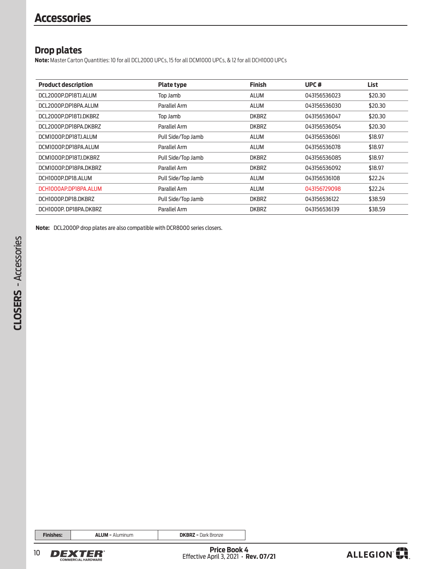## **Drop plates**

**Note:** Master Carton Quantities: 10 for all DCL2000 UPCs, 15 for all DCM1000 UPCs, & 12 for all DCH1000 UPCs

| <b>Product description</b> | <b>Plate type</b>  | <b>Finish</b> | UPC <sup>#</sup> | List    |
|----------------------------|--------------------|---------------|------------------|---------|
| DCL2000P.DP18TJ.ALUM       | Top Jamb           | <b>ALUM</b>   | 043156536023     | \$20.30 |
| DCL2000P.DP18PA.ALUM       | Parallel Arm       | <b>ALUM</b>   | 043156536030     | \$20.30 |
| DCL2000P.DP18TJ.DKBRZ      | Top Jamb           | <b>DKBRZ</b>  | 043156536047     | \$20.30 |
| DCL2000P.DP18PA.DKBRZ      | Parallel Arm       | <b>DKBRZ</b>  | 043156536054     | \$20.30 |
| DCM1000P.DP18TJ.ALUM       | Pull Side/Top Jamb | <b>ALUM</b>   | 043156536061     | \$18.97 |
| DCM1000P.DP18PA.ALUM       | Parallel Arm       | <b>ALUM</b>   | 043156536078     | \$18.97 |
| DCM1000P.DP18TJ.DKBRZ      | Pull Side/Top Jamb | <b>DKBRZ</b>  | 043156536085     | \$18.97 |
| DCM1000P.DP18PA.DKBRZ      | Parallel Arm       | <b>DKBRZ</b>  | 043156536092     | \$18.97 |
| DCH1000P.DP18.ALUM         | Pull Side/Top Jamb | <b>ALUM</b>   | 043156536108     | \$22.24 |
| DCH1000AP.DP18PA.ALUM      | Parallel Arm       | <b>ALUM</b>   | 043156729098     | \$22.24 |
| DCH1000P.DP18.DKBRZ        | Pull Side/Top Jamb | <b>DKBRZ</b>  | 043156536122     | \$38.59 |
| DCH1000P.DP18PA.DKBRZ      | Parallel Arm       | <b>DKBRZ</b>  | 043156536139     | \$38.59 |

**Note:** DCL2000P drop plates are also compatible with DCR8000 series closers.

**Finishes: ALUM** = Aluminum **DKBRZ** = Dark Bronze



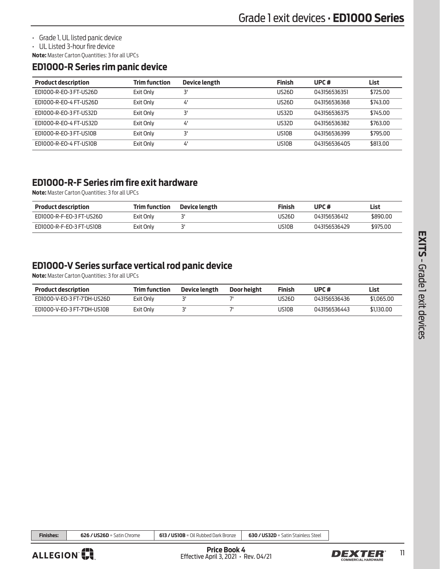<span id="page-10-0"></span>• Grade 1, UL listed panic device

• UL Listed 3-hour fire device

**Note:** Master Carton Quantities: 3 for all UPCs

### **ED1000-R Series rim panic device**

| <b>Product description</b> | <b>Trim function</b> | Device length | <b>Finish</b> | UPC $#$      | List     |
|----------------------------|----------------------|---------------|---------------|--------------|----------|
| ED1000-R-EO-3 FT-US26D     | Exit Only            | יב            | US26D         | 043156536351 | \$725.00 |
| ED1000-R-EO-4 FT-US26D     | Exit Only            | 4'            | US26D         | 043156536368 | \$743.00 |
| ED1000-R-EO-3 FT-US32D     | Exit Only            | יב            | US32D         | 043156536375 | \$745.00 |
| ED1000-R-EO-4 FT-US32D     | Exit Only            | 4'            | US32D         | 043156536382 | \$763.00 |
| ED1000-R-EO-3 FT-US10B     | Exit Only            | ٦'            | US10B         | 043156536399 | \$795.00 |
| ED1000-R-EO-4 FT-US10B     | Exit Only            | 4'            | US10B         | 043156536405 | \$813,00 |

## **ED1000-R-F Series rim fire exit hardware**

**Note:** Master Carton Quantities: 3 for all UPCs

| <b>Product description</b> | Trim function | Device length | Finish | UPC#         | ∟ist     |
|----------------------------|---------------|---------------|--------|--------------|----------|
| ED1000-R-F-E0-3 FT-US26D   | Exit Only     |               | US26D  | 043156536412 | \$890.00 |
| ED1000-R-F-EO-3 FT-US10B   | Exit Only     |               | US10B  | 043156536429 | \$975.00 |

# **ED1000-V Series surface vertical rod panic device**

**Note:** Master Carton Quantities: 3 for all UPCs

| <b>Product description</b>  | <b>Trim function</b> | Device length | Door height | <b>Finish</b> | UPC#         | List       |
|-----------------------------|----------------------|---------------|-------------|---------------|--------------|------------|
| ED1000-V-EO-3 FT-7'DH-US26D | Exit Only            |               |             | US26D         | 043156536436 | \$1,065,00 |
| ED1000-V-EO-3 FT-7'DH-US10B | Exit Only            |               |             | US10B         | 043156536443 | \$1,130,00 |

**Finishes: 626 / US26D** = Satin Chrome **613 / US10B** = Oil Rubbed Dark Bronze **630 / US32D** = Satin Stainless Steel

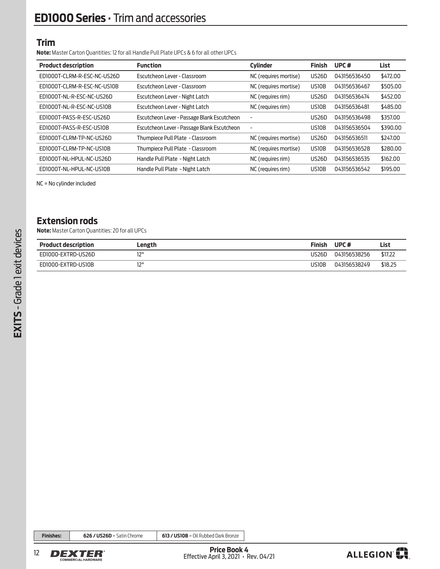### **Trim**

**Note:** Master Carton Quantities: 12 for all Handle Pull Plate UPCs & 6 for all other UPCs

| <b>Product description</b>  | <b>Function</b>                             | <b>Cylinder</b>          | <b>Finish</b>      | UPC#         | List     |
|-----------------------------|---------------------------------------------|--------------------------|--------------------|--------------|----------|
| EDIOOOT-CLRM-R-ESC-NC-US26D | Escutcheon Lever - Classroom                | NC (requires mortise)    | US26D              | 043156536450 | \$472.00 |
| EDIOOOT-CLRM-R-ESC-NC-USIOB | Escutcheon Lever - Classroom                | NC (requires mortise)    | US10B              | 043156536467 | \$505.00 |
| EDI000T-NL-R-ESC-NC-US26D   | Escutcheon Lever - Night Latch              | NC (requires rim)        | US26D              | 043156536474 | \$452.00 |
| EDIOOOT-NL-R-ESC-NC-USIOB   | Escutcheon Lever - Night Latch              | NC (requires rim)        | US10B              | 043156536481 | \$485.00 |
| EDI000T-PASS-R-ESC-US26D    | Escutcheon Lever - Passage Blank Escutcheon | $\overline{\phantom{a}}$ | US <sub>26</sub> D | 043156536498 | \$357.00 |
| EDI000T-PASS-R-ESC-USIOB    | Escutcheon Lever - Passage Blank Escutcheon | $\overline{\phantom{a}}$ | US10B              | 043156536504 | \$390.00 |
| EDI000T-CLRM-TP-NC-US26D    | Thumpiece Pull Plate - Classroom            | NC (requires mortise)    | US26D              | 043156536511 | \$247.00 |
| EDIOOOT-CLRM-TP-NC-USIOB    | Thumpiece Pull Plate - Classroom            | NC (requires mortise)    | US10B              | 043156536528 | \$280.00 |
| EDI000T-NL-HPUL-NC-US26D    | Handle Pull Plate - Night Latch             | NC (requires rim)        | <b>US26D</b>       | 043156536535 | \$162.00 |
| EDI000T-NL-HPUL-NC-USIOB    | Handle Pull Plate - Night Latch             | NC (requires rim)        | US10B              | 043156536542 | \$195.00 |

NC = No cylinder included

## **Extension rods**

**Note:** Master Carton Quantities: 20 for all UPCs

| <b>Product description</b> | Length | <b>Finish</b> | UPC#         | List    |
|----------------------------|--------|---------------|--------------|---------|
| ED1000-EXTRD-US26D         | וורו   | US26D         | 043156538256 | \$17.22 |
| ED1000-EXTRD-US10B         | וורו   | JS10B         | 043156538249 | \$18.25 |

**Finishes: 626 / US26D** = Satin Chrome **613 / US10B** = Oil Rubbed Dark Bronze



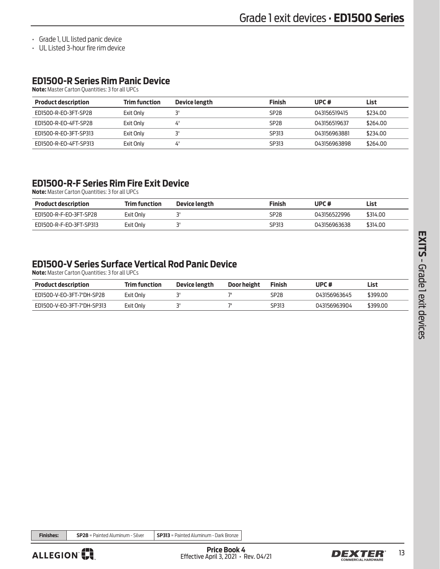• Grade 1, UL listed panic device

• UL Listed 3-hour fire rim device

# **ED1500-R Series Rim Panic Device**

**Note:** Master Carton Quantities: 3 for all UPCs

| <b>Product description</b> | Trim function | Device length | <b>Finish</b>    | UPC#         | List     |
|----------------------------|---------------|---------------|------------------|--------------|----------|
| FD1500-R-FO-3FT-SP28       | Exit Only     |               | SP <sub>28</sub> | 043156519415 | \$234.00 |
| FD1500-R-FO-4FT-SP28       | Exit Only     | 4'            | SP <sub>28</sub> | 043156519637 | \$264.00 |
| ED1500-R-EO-3FT-SP313      | Exit Only     |               | SP313            | 043156963881 | \$234.00 |
| ED1500-R-EO-4FT-SP313      | Exit Only     | 4.            | SP313            | 043156963898 | \$264.00 |

## **ED1500-R-F Series Rim Fire Exit Device**

**Note:** Master Carton Quantities: 3 for all UPCs

| <b>Product description</b> | <b>Trim function</b> | Device length | Finish | UPC#         | List     |
|----------------------------|----------------------|---------------|--------|--------------|----------|
| ED1500-R-F-EO-3FT-SP28     | Exit Only            |               | SP28   | 043156522996 | \$314.00 |
| ED1500-R-F-EO-3FT-SP313    | Exit Only            |               | SP313  | 043156963638 | \$314.00 |

# **ED1500-V Series Surface Vertical Rod Panic Device**

**Note:** Master Carton Quantities: 3 for all UPCs

| <b>Product description</b> | <b>Trim function</b> | Device length | Door height | <b>Finish</b> | UPC#         | List     |
|----------------------------|----------------------|---------------|-------------|---------------|--------------|----------|
| ED1500-V-EO-3FT-7'DH-SP28  | Exit Only            |               |             | SP28          | 043156963645 | \$399.00 |
| ED1500-V-EO-3FT-7'DH-SP313 | Exit Only            |               |             | SP313         | 043156963904 | \$399.00 |

**Finishes: SP28** = Painted Aluminum - Silver **SP313** = Painted Aluminum - Dark Bronze



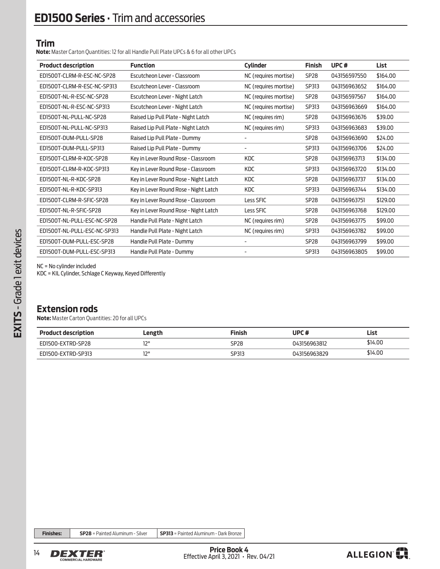### **Trim**

**Note:** Master Carton Quantities: 12 for all Handle Pull Plate UPCs & 6 for all other UPCs

| <b>Product description</b>   | <b>Function</b>                       | <b>Cylinder</b>       | <b>Finish</b>    | UPC <sup>#</sup> | List     |
|------------------------------|---------------------------------------|-----------------------|------------------|------------------|----------|
| ED1500T-CLRM-R-ESC-NC-SP28   | Escutcheon Lever - Classroom          | NC (requires mortise) | SP <sub>28</sub> | 043156597550     | \$164.00 |
| ED1500T-CLRM-R-ESC-NC-SP313  | Escutcheon Lever - Classroom          | NC (requires mortise) | SP313            | 043156963652     | \$164.00 |
| ED1500T-NL-R-ESC-NC-SP28     | Escutcheon Lever - Night Latch        | NC (requires mortise) | SP <sub>28</sub> | 043156597567     | \$164.00 |
| ED1500T-NL-R-ESC-NC-SP313    | Escutcheon Lever - Night Latch        | NC (requires mortise) | SP313            | 043156963669     | \$164.00 |
| EDI500T-NL-PULL-NC-SP28      | Raised Lip Pull Plate - Night Latch   | NC (requires rim)     | SP <sub>28</sub> | 043156963676     | \$39.00  |
| ED1500T-NL-PULL-NC-SP313     | Raised Lip Pull Plate - Night Latch   | NC (requires rim)     | SP313            | 043156963683     | \$39.00  |
| EDI500T-DUM-PULL-SP28        | Raised Lip Pull Plate - Dummy         |                       | SP <sub>28</sub> | 043156963690     | \$24.00  |
| ED1500T-DUM-PULL-SP313       | Raised Lip Pull Plate - Dummy         | -                     | SP313            | 043156963706     | \$24.00  |
| ED1500T-CLRM-R-KDC-SP28      | Key in Lever Round Rose - Classroom   | <b>KDC</b>            | SP <sub>28</sub> | 043156963713     | \$134.00 |
| ED1500T-CLRM-R-KDC-SP313     | Key in Lever Round Rose - Classroom   | <b>KDC</b>            | SP313            | 043156963720     | \$134.00 |
| ED1500T-NL-R-KDC-SP28        | Key in Lever Round Rose - Night Latch | <b>KDC</b>            | SP <sub>28</sub> | 043156963737     | \$134.00 |
| ED1500T-NL-R-KDC-SP313       | Key in Lever Round Rose - Night Latch | <b>KDC</b>            | SP313            | 043156963744     | \$134.00 |
| ED1500T-CLRM-R-SFIC-SP28     | Key in Lever Round Rose - Classroom   | Less SFIC             | <b>SP28</b>      | 043156963751     | \$129.00 |
| ED1500T-NL-R-SFIC-SP28       | Key in Lever Round Rose - Night Latch | Less SFIC             | SP <sub>28</sub> | 043156963768     | \$129.00 |
| EDI500T-NL-PULL-ESC-NC-SP28  | Handle Pull Plate - Night Latch       | NC (requires rim)     | SP <sub>28</sub> | 043156963775     | \$99.00  |
| ED1500T-NL-PULL-ESC-NC-SP313 | Handle Pull Plate - Night Latch       | NC (requires rim)     | SP313            | 043156963782     | \$99.00  |
| ED1500T-DUM-PULL-ESC-SP28    | Handle Pull Plate - Dummy             | ٠                     | SP <sub>28</sub> | 043156963799     | \$99.00  |
| ED1500T-DUM-PULL-ESC-SP313   | Handle Pull Plate - Dummy             |                       | SP313            | 043156963805     | \$99.00  |

NC = No cylinder included

KDC = KIL Cylinder, Schlage C Keyway, Keyed Differently

### **Extension rods**

**Note:** Master Carton Quantities: 20 for all UPCs

| <b>Product description</b> | Length      | <b>Finish</b> | UPC#         | List    |
|----------------------------|-------------|---------------|--------------|---------|
| ED1500-EXTRD-SP28          | 1711        | SP28          | 043156963812 | \$14.00 |
| ED1500-EXTRD-SP313         | 17 11<br>ı∠ | SP313         | 043156963829 | \$14.00 |

**Finishes: SP28** = Painted Aluminum - Silver **SP313** = Painted Aluminum - Dark Bronze



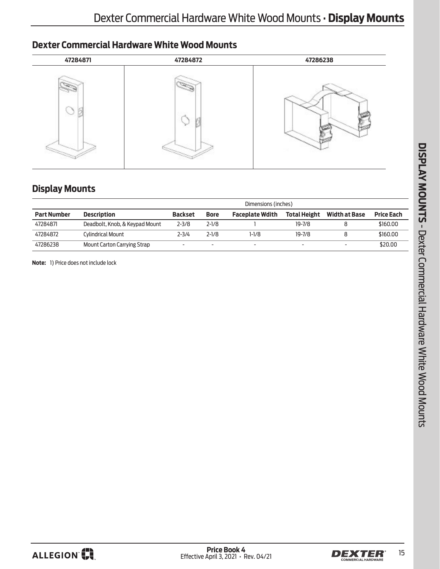# <span id="page-14-0"></span>**Dexter Commercial Hardware White Wood Mounts**



## **Display Mounts**

|                    |                                | Dimensions (inches) |             |                        |                     |                      |                   |
|--------------------|--------------------------------|---------------------|-------------|------------------------|---------------------|----------------------|-------------------|
| <b>Part Number</b> | <b>Description</b>             | <b>Backset</b>      | <b>Bore</b> | <b>Faceplate Wdith</b> | <b>Total Height</b> | <b>Width at Base</b> | <b>Price Each</b> |
| 47284871           | Deadbolt, Knob, & Keypad Mount | $2 - 3/8$           | $2 - 1/8$   |                        | $19 - 7/8$          |                      | \$160.00          |
| 47284872           | Cylindrical Mount              | $2 - 3/4$           | $2 - 1/8$   | 1-1/8                  | $19 - 7/8$          |                      | \$160.00          |
| 47286238           | Mount Carton Carrying Strap    | -                   |             | -                      |                     | -                    | \$20.00           |

**Note:** 1) Price does not include lock



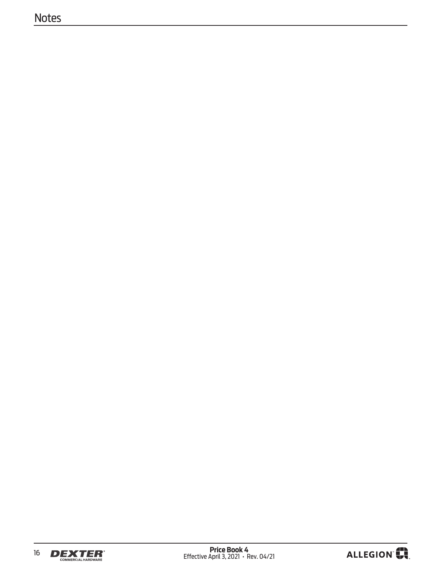# **Notes**